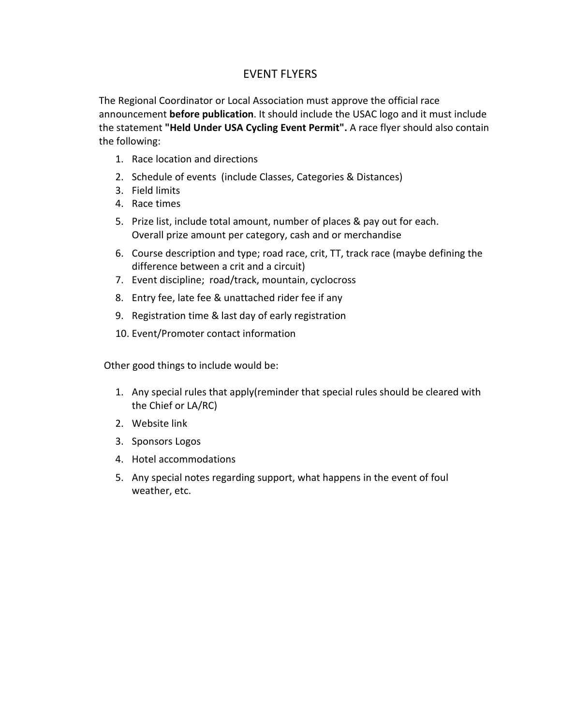## EVENT FLYERS

The Regional Coordinator or Local Association must approve the official race announcement before publication. It should include the USAC logo and it must include the statement "Held Under USA Cycling Event Permit". A race flyer should also contain the following:

- 1. Race location and directions
- 2. Schedule of events (include Classes, Categories & Distances)
- 3. Field limits
- 4. Race times
- 5. Prize list, include total amount, number of places & pay out for each. Overall prize amount per category, cash and or merchandise
- 6. Course description and type; road race, crit, TT, track race (maybe defining the difference between a crit and a circuit)
- 7. Event discipline; road/track, mountain, cyclocross
- 8. Entry fee, late fee & unattached rider fee if any
- 9. Registration time & last day of early registration
- 10. Event/Promoter contact information

Other good things to include would be:

- 1. Any special rules that apply(reminder that special rules should be cleared with the Chief or LA/RC)
- 2. Website link
- 3. Sponsors Logos
- 4. Hotel accommodations
- 5. Any special notes regarding support, what happens in the event of foul weather, etc.